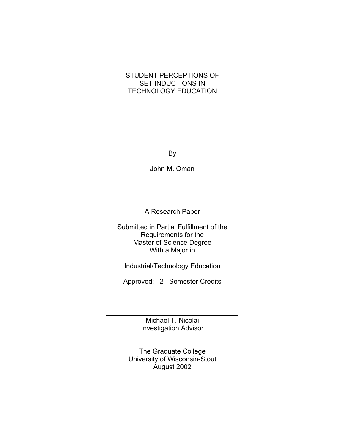## STUDENT PERCEPTIONS OF SET INDUCTIONS IN TECHNOLOGY EDUCATION

By

John M. Oman

A Research Paper

Submitted in Partial Fulfillment of the Requirements for the Master of Science Degree With a Major in

Industrial/Technology Education

Approved: 2\_ Semester Credits

Michael T. Nicolai Investigation Advisor

l

The Graduate College University of Wisconsin-Stout August 2002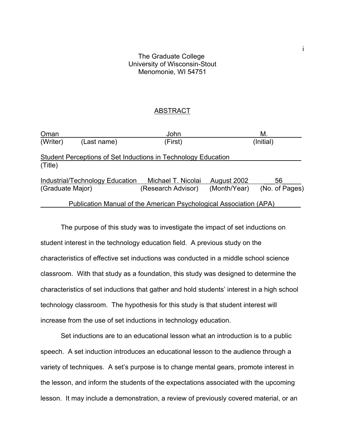## The Graduate College University of Wisconsin-Stout Menomonie, WI 54751

## ABSTRACT

| Oman             |                                 | John                                                                 |              | М.             |
|------------------|---------------------------------|----------------------------------------------------------------------|--------------|----------------|
| (Writer)         | (Last name)                     | (First)                                                              |              | (Initial)      |
|                  |                                 | <b>Student Perceptions of Set Inductions in Technology Education</b> |              |                |
| (Title)          |                                 |                                                                      |              |                |
|                  | Industrial/Technology Education | Michael T. Nicolai                                                   | August 2002  | 56             |
| (Graduate Major) |                                 | (Research Advisor)                                                   | (Month/Year) | (No. of Pages) |
|                  |                                 | Publication Manual of the American Psychological Association (APA)   |              |                |

The purpose of this study was to investigate the impact of set inductions on student interest in the technology education field. A previous study on the characteristics of effective set inductions was conducted in a middle school science classroom. With that study as a foundation, this study was designed to determine the characteristics of set inductions that gather and hold students' interest in a high school technology classroom. The hypothesis for this study is that student interest will increase from the use of set inductions in technology education.

Set inductions are to an educational lesson what an introduction is to a public speech. A set induction introduces an educational lesson to the audience through a variety of techniques. A set's purpose is to change mental gears, promote interest in the lesson, and inform the students of the expectations associated with the upcoming lesson. It may include a demonstration, a review of previously covered material, or an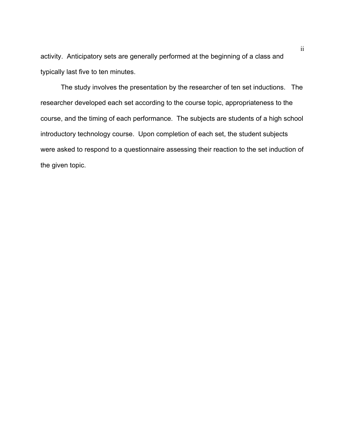activity. Anticipatory sets are generally performed at the beginning of a class and typically last five to ten minutes.

The study involves the presentation by the researcher of ten set inductions. The researcher developed each set according to the course topic, appropriateness to the course, and the timing of each performance. The subjects are students of a high school introductory technology course. Upon completion of each set, the student subjects were asked to respond to a questionnaire assessing their reaction to the set induction of the given topic.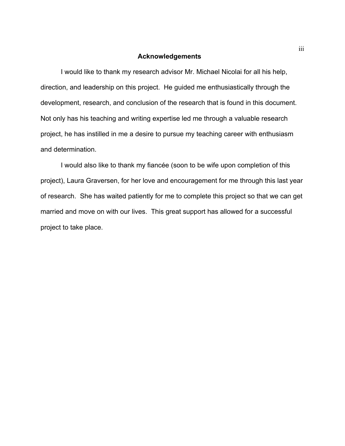## **Acknowledgements**

I would like to thank my research advisor Mr. Michael Nicolai for all his help, direction, and leadership on this project. He guided me enthusiastically through the development, research, and conclusion of the research that is found in this document. Not only has his teaching and writing expertise led me through a valuable research project, he has instilled in me a desire to pursue my teaching career with enthusiasm and determination.

I would also like to thank my fiancée (soon to be wife upon completion of this project), Laura Graversen, for her love and encouragement for me through this last year of research. She has waited patiently for me to complete this project so that we can get married and move on with our lives. This great support has allowed for a successful project to take place.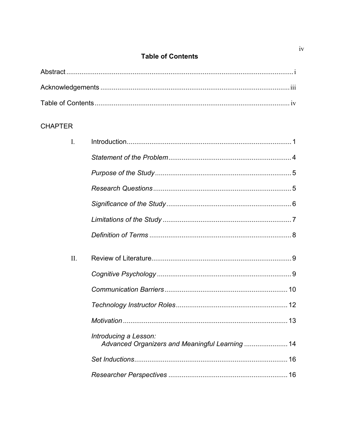## **Table of Contents**

## **CHAPTER**

| $\mathbf{I}$ . |                                                                          |
|----------------|--------------------------------------------------------------------------|
|                |                                                                          |
|                |                                                                          |
|                |                                                                          |
|                |                                                                          |
|                |                                                                          |
|                |                                                                          |
| $\Pi$ .        |                                                                          |
|                |                                                                          |
|                |                                                                          |
|                |                                                                          |
|                | Introducing a Lesson:<br>Advanced Organizers and Meaningful Learning  14 |
|                |                                                                          |
|                |                                                                          |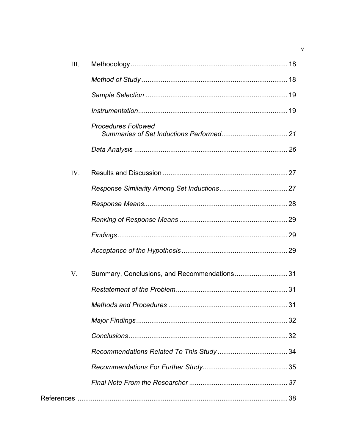| III. |                                             |  |
|------|---------------------------------------------|--|
|      |                                             |  |
|      |                                             |  |
|      |                                             |  |
|      | <b>Procedures Followed</b>                  |  |
|      |                                             |  |
| IV.  |                                             |  |
|      |                                             |  |
|      |                                             |  |
|      |                                             |  |
|      |                                             |  |
|      |                                             |  |
| V.   | Summary, Conclusions, and Recommendations31 |  |
|      |                                             |  |
|      |                                             |  |
|      |                                             |  |
|      |                                             |  |
|      |                                             |  |
|      |                                             |  |
|      |                                             |  |
|      |                                             |  |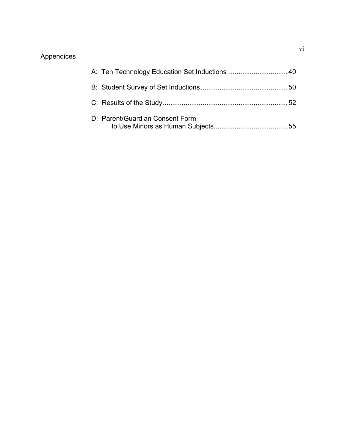# Appendices

| D: Parent/Guardian Consent Form |  |
|---------------------------------|--|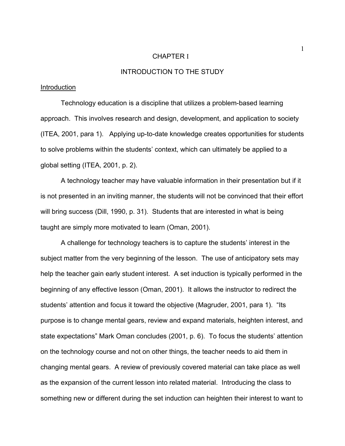## CHAPTER I

## INTRODUCTION TO THE STUDY

## Introduction

Technology education is a discipline that utilizes a problem-based learning approach. This involves research and design, development, and application to society (ITEA, 2001, para 1). Applying up-to-date knowledge creates opportunities for students to solve problems within the students' context, which can ultimately be applied to a global setting (ITEA, 2001, p. 2).

A technology teacher may have valuable information in their presentation but if it is not presented in an inviting manner, the students will not be convinced that their effort will bring success (Dill, 1990, p. 31). Students that are interested in what is being taught are simply more motivated to learn (Oman, 2001).

A challenge for technology teachers is to capture the students' interest in the subject matter from the very beginning of the lesson. The use of anticipatory sets may help the teacher gain early student interest. A set induction is typically performed in the beginning of any effective lesson (Oman, 2001). It allows the instructor to redirect the students' attention and focus it toward the objective (Magruder, 2001, para 1). "Its purpose is to change mental gears, review and expand materials, heighten interest, and state expectations" Mark Oman concludes (2001, p. 6). To focus the students' attention on the technology course and not on other things, the teacher needs to aid them in changing mental gears. A review of previously covered material can take place as well as the expansion of the current lesson into related material. Introducing the class to something new or different during the set induction can heighten their interest to want to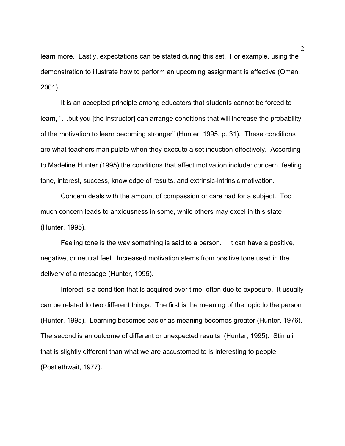learn more. Lastly, expectations can be stated during this set. For example, using the demonstration to illustrate how to perform an upcoming assignment is effective (Oman, 2001).

It is an accepted principle among educators that students cannot be forced to learn, "…but you [the instructor] can arrange conditions that will increase the probability of the motivation to learn becoming stronger" (Hunter, 1995, p. 31). These conditions are what teachers manipulate when they execute a set induction effectively. According to Madeline Hunter (1995) the conditions that affect motivation include: concern, feeling tone, interest, success, knowledge of results, and extrinsic-intrinsic motivation.

Concern deals with the amount of compassion or care had for a subject. Too much concern leads to anxiousness in some, while others may excel in this state (Hunter, 1995).

Feeling tone is the way something is said to a person. It can have a positive, negative, or neutral feel. Increased motivation stems from positive tone used in the delivery of a message (Hunter, 1995).

Interest is a condition that is acquired over time, often due to exposure. It usually can be related to two different things. The first is the meaning of the topic to the person (Hunter, 1995). Learning becomes easier as meaning becomes greater (Hunter, 1976). The second is an outcome of different or unexpected results (Hunter, 1995). Stimuli that is slightly different than what we are accustomed to is interesting to people (Postlethwait, 1977).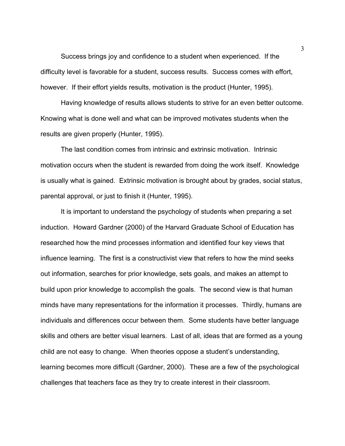Success brings joy and confidence to a student when experienced. If the difficulty level is favorable for a student, success results. Success comes with effort, however. If their effort yields results, motivation is the product (Hunter, 1995).

Having knowledge of results allows students to strive for an even better outcome. Knowing what is done well and what can be improved motivates students when the results are given properly (Hunter, 1995).

The last condition comes from intrinsic and extrinsic motivation. Intrinsic motivation occurs when the student is rewarded from doing the work itself. Knowledge is usually what is gained. Extrinsic motivation is brought about by grades, social status, parental approval, or just to finish it (Hunter, 1995).

It is important to understand the psychology of students when preparing a set induction. Howard Gardner (2000) of the Harvard Graduate School of Education has researched how the mind processes information and identified four key views that influence learning. The first is a constructivist view that refers to how the mind seeks out information, searches for prior knowledge, sets goals, and makes an attempt to build upon prior knowledge to accomplish the goals. The second view is that human minds have many representations for the information it processes. Thirdly, humans are individuals and differences occur between them. Some students have better language skills and others are better visual learners. Last of all, ideas that are formed as a young child are not easy to change. When theories oppose a student's understanding, learning becomes more difficult (Gardner, 2000). These are a few of the psychological challenges that teachers face as they try to create interest in their classroom.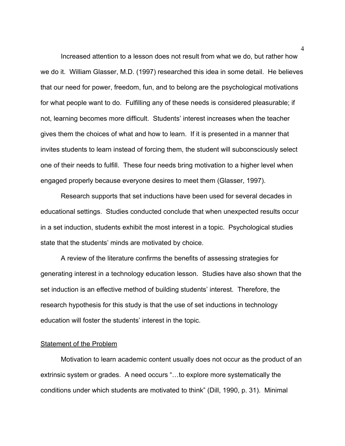Increased attention to a lesson does not result from what we do, but rather how we do it. William Glasser, M.D. (1997) researched this idea in some detail. He believes that our need for power, freedom, fun, and to belong are the psychological motivations for what people want to do. Fulfilling any of these needs is considered pleasurable; if not, learning becomes more difficult. Students' interest increases when the teacher gives them the choices of what and how to learn. If it is presented in a manner that invites students to learn instead of forcing them, the student will subconsciously select one of their needs to fulfill. These four needs bring motivation to a higher level when engaged properly because everyone desires to meet them (Glasser, 1997).

Research supports that set inductions have been used for several decades in educational settings. Studies conducted conclude that when unexpected results occur in a set induction, students exhibit the most interest in a topic. Psychological studies state that the students' minds are motivated by choice.

A review of the literature confirms the benefits of assessing strategies for generating interest in a technology education lesson. Studies have also shown that the set induction is an effective method of building students' interest. Therefore, the research hypothesis for this study is that the use of set inductions in technology education will foster the students' interest in the topic.

## Statement of the Problem

Motivation to learn academic content usually does not occur as the product of an extrinsic system or grades. A need occurs "…to explore more systematically the conditions under which students are motivated to think" (Dill, 1990, p. 31). Minimal

4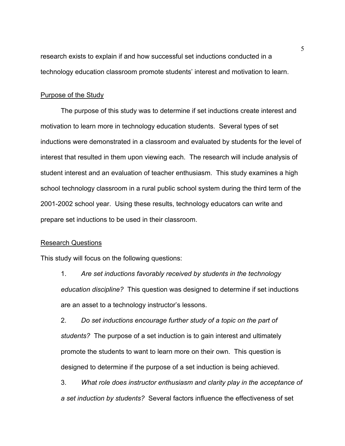research exists to explain if and how successful set inductions conducted in a technology education classroom promote students' interest and motivation to learn.

## Purpose of the Study

The purpose of this study was to determine if set inductions create interest and motivation to learn more in technology education students. Several types of set inductions were demonstrated in a classroom and evaluated by students for the level of interest that resulted in them upon viewing each. The research will include analysis of student interest and an evaluation of teacher enthusiasm. This study examines a high school technology classroom in a rural public school system during the third term of the 2001-2002 school year. Using these results, technology educators can write and prepare set inductions to be used in their classroom.

## Research Questions

This study will focus on the following questions:

1. *Are set inductions favorably received by students in the technology education discipline?* This question was designed to determine if set inductions are an asset to a technology instructor's lessons.

2. *Do set inductions encourage further study of a topic on the part of students?* The purpose of a set induction is to gain interest and ultimately promote the students to want to learn more on their own. This question is designed to determine if the purpose of a set induction is being achieved.

3. *What role does instructor enthusiasm and clarity play in the acceptance of a set induction by students?* Several factors influence the effectiveness of set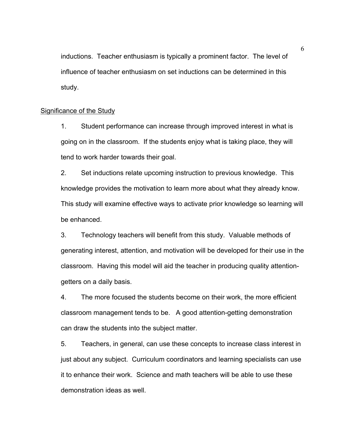inductions. Teacher enthusiasm is typically a prominent factor. The level of influence of teacher enthusiasm on set inductions can be determined in this study.

## Significance of the Study

1. Student performance can increase through improved interest in what is going on in the classroom. If the students enjoy what is taking place, they will tend to work harder towards their goal.

2. Set inductions relate upcoming instruction to previous knowledge. This knowledge provides the motivation to learn more about what they already know. This study will examine effective ways to activate prior knowledge so learning will be enhanced.

3. Technology teachers will benefit from this study. Valuable methods of generating interest, attention, and motivation will be developed for their use in the classroom. Having this model will aid the teacher in producing quality attentiongetters on a daily basis.

4. The more focused the students become on their work, the more efficient classroom management tends to be. A good attention-getting demonstration can draw the students into the subject matter.

5. Teachers, in general, can use these concepts to increase class interest in just about any subject. Curriculum coordinators and learning specialists can use it to enhance their work. Science and math teachers will be able to use these demonstration ideas as well.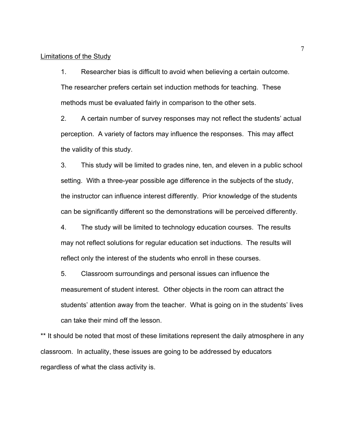## Limitations of the Study

1. Researcher bias is difficult to avoid when believing a certain outcome. The researcher prefers certain set induction methods for teaching. These methods must be evaluated fairly in comparison to the other sets.

2. A certain number of survey responses may not reflect the students' actual perception. A variety of factors may influence the responses. This may affect the validity of this study.

3. This study will be limited to grades nine, ten, and eleven in a public school setting. With a three-year possible age difference in the subjects of the study, the instructor can influence interest differently. Prior knowledge of the students can be significantly different so the demonstrations will be perceived differently.

4. The study will be limited to technology education courses. The results may not reflect solutions for regular education set inductions. The results will reflect only the interest of the students who enroll in these courses.

5. Classroom surroundings and personal issues can influence the measurement of student interest. Other objects in the room can attract the students' attention away from the teacher. What is going on in the students' lives can take their mind off the lesson.

\*\* It should be noted that most of these limitations represent the daily atmosphere in any classroom. In actuality, these issues are going to be addressed by educators regardless of what the class activity is.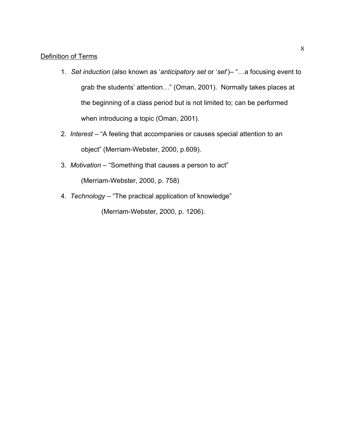## Definition of Terms

- 1. *Set induction* (also known as '*anticipatory set* or '*set*')– "…a focusing event to grab the students' attention…" (Oman, 2001). Normally takes places at the beginning of a class period but is not limited to; can be performed when introducing a topic (Oman, 2001).
- 2. *Interest* "A feeling that accompanies or causes special attention to an object" (Merriam-Webster, 2000, p.609).
- 3. *Motivation* "Something that causes a person to act" (Merriam-Webster, 2000, p. 758)
- 4. *Technology* "The practical application of knowledge"

(Merriam-Webster, 2000, p. 1206).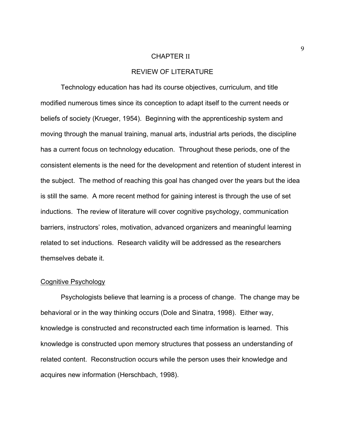#### CHAPTER II

## REVIEW OF LITERATURE

Technology education has had its course objectives, curriculum, and title modified numerous times since its conception to adapt itself to the current needs or beliefs of society (Krueger, 1954). Beginning with the apprenticeship system and moving through the manual training, manual arts, industrial arts periods, the discipline has a current focus on technology education. Throughout these periods, one of the consistent elements is the need for the development and retention of student interest in the subject. The method of reaching this goal has changed over the years but the idea is still the same. A more recent method for gaining interest is through the use of set inductions. The review of literature will cover cognitive psychology, communication barriers, instructors' roles, motivation, advanced organizers and meaningful learning related to set inductions. Research validity will be addressed as the researchers themselves debate it.

#### Cognitive Psychology

Psychologists believe that learning is a process of change. The change may be behavioral or in the way thinking occurs (Dole and Sinatra, 1998). Either way, knowledge is constructed and reconstructed each time information is learned. This knowledge is constructed upon memory structures that possess an understanding of related content. Reconstruction occurs while the person uses their knowledge and acquires new information (Herschbach, 1998).

9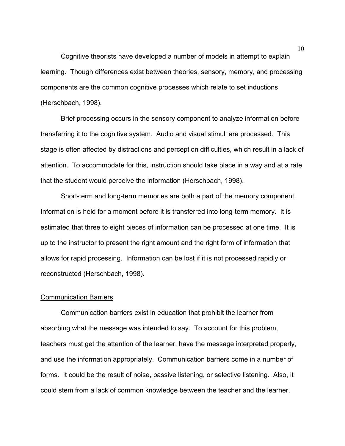Cognitive theorists have developed a number of models in attempt to explain learning. Though differences exist between theories, sensory, memory, and processing components are the common cognitive processes which relate to set inductions (Herschbach, 1998).

Brief processing occurs in the sensory component to analyze information before transferring it to the cognitive system. Audio and visual stimuli are processed. This stage is often affected by distractions and perception difficulties, which result in a lack of attention. To accommodate for this, instruction should take place in a way and at a rate that the student would perceive the information (Herschbach, 1998).

Short-term and long-term memories are both a part of the memory component. Information is held for a moment before it is transferred into long-term memory. It is estimated that three to eight pieces of information can be processed at one time. It is up to the instructor to present the right amount and the right form of information that allows for rapid processing. Information can be lost if it is not processed rapidly or reconstructed (Herschbach, 1998).

#### Communication Barriers

Communication barriers exist in education that prohibit the learner from absorbing what the message was intended to say. To account for this problem, teachers must get the attention of the learner, have the message interpreted properly, and use the information appropriately. Communication barriers come in a number of forms. It could be the result of noise, passive listening, or selective listening. Also, it could stem from a lack of common knowledge between the teacher and the learner,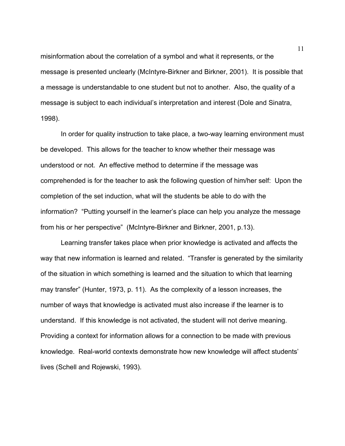misinformation about the correlation of a symbol and what it represents, or the message is presented unclearly (McIntyre-Birkner and Birkner, 2001). It is possible that a message is understandable to one student but not to another. Also, the quality of a message is subject to each individual's interpretation and interest (Dole and Sinatra, 1998).

In order for quality instruction to take place, a two-way learning environment must be developed. This allows for the teacher to know whether their message was understood or not. An effective method to determine if the message was comprehended is for the teacher to ask the following question of him/her self: Upon the completion of the set induction, what will the students be able to do with the information? "Putting yourself in the learner's place can help you analyze the message from his or her perspective" (McIntyre-Birkner and Birkner, 2001, p.13).

Learning transfer takes place when prior knowledge is activated and affects the way that new information is learned and related. "Transfer is generated by the similarity of the situation in which something is learned and the situation to which that learning may transfer" (Hunter, 1973, p. 11). As the complexity of a lesson increases, the number of ways that knowledge is activated must also increase if the learner is to understand. If this knowledge is not activated, the student will not derive meaning. Providing a context for information allows for a connection to be made with previous knowledge. Real-world contexts demonstrate how new knowledge will affect students' lives (Schell and Rojewski, 1993).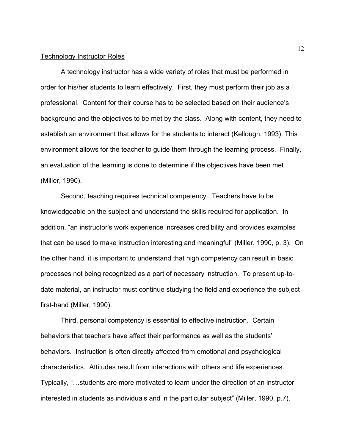#### Technology Instructor Roles

A technology instructor has a wide variety of roles that must be performed in order for his/her students to learn effectively. First, they must perform their job as a professional. Content for their course has to be selected based on their audience's background and the objectives to be met by the class. Along with content, they need to establish an environment that allows for the students to interact (Kellough, 1993). This environment allows for the teacher to guide them through the learning process. Finally, an evaluation of the learning is done to determine if the objectives have been met (Miller, 1990).

Second, teaching requires technical competency. Teachers have to be knowledgeable on the subject and understand the skills required for application. In addition, "an instructor's work experience increases credibility and provides examples that can be used to make instruction interesting and meaningful" (Miller, 1990, p. 3). On the other hand, it is important to understand that high competency can result in basic processes not being recognized as a part of necessary instruction. To present up-todate material, an instructor must continue studying the field and experience the subject first-hand (Miller, 1990).

Third, personal competency is essential to effective instruction. Certain behaviors that teachers have affect their performance as well as the students' behaviors. Instruction is often directly affected from emotional and psychological characteristics. Attitudes result from interactions with others and life experiences. Typically, "…students are more motivated to learn under the direction of an instructor interested in students as individuals and in the particular subject" (Miller, 1990, p.7).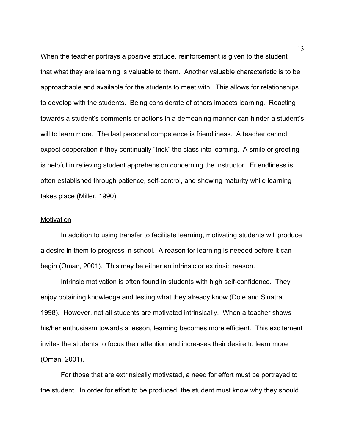When the teacher portrays a positive attitude, reinforcement is given to the student that what they are learning is valuable to them. Another valuable characteristic is to be approachable and available for the students to meet with. This allows for relationships to develop with the students. Being considerate of others impacts learning. Reacting towards a student's comments or actions in a demeaning manner can hinder a student's will to learn more. The last personal competence is friendliness. A teacher cannot expect cooperation if they continually "trick" the class into learning. A smile or greeting is helpful in relieving student apprehension concerning the instructor. Friendliness is often established through patience, self-control, and showing maturity while learning takes place (Miller, 1990).

#### **Motivation**

In addition to using transfer to facilitate learning, motivating students will produce a desire in them to progress in school. A reason for learning is needed before it can begin (Oman, 2001). This may be either an intrinsic or extrinsic reason.

Intrinsic motivation is often found in students with high self-confidence. They enjoy obtaining knowledge and testing what they already know (Dole and Sinatra, 1998). However, not all students are motivated intrinsically. When a teacher shows his/her enthusiasm towards a lesson, learning becomes more efficient. This excitement invites the students to focus their attention and increases their desire to learn more (Oman, 2001).

For those that are extrinsically motivated, a need for effort must be portrayed to the student. In order for effort to be produced, the student must know why they should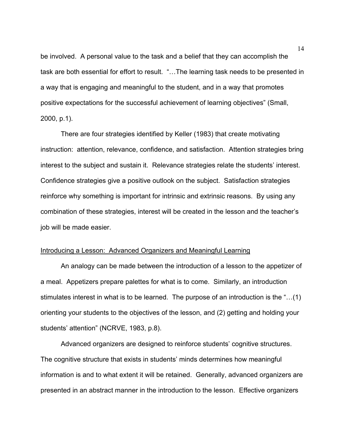be involved. A personal value to the task and a belief that they can accomplish the task are both essential for effort to result. "…The learning task needs to be presented in a way that is engaging and meaningful to the student, and in a way that promotes positive expectations for the successful achievement of learning objectives" (Small, 2000, p.1).

There are four strategies identified by Keller (1983) that create motivating instruction: attention, relevance, confidence, and satisfaction. Attention strategies bring interest to the subject and sustain it. Relevance strategies relate the students' interest. Confidence strategies give a positive outlook on the subject. Satisfaction strategies reinforce why something is important for intrinsic and extrinsic reasons. By using any combination of these strategies, interest will be created in the lesson and the teacher's job will be made easier.

## Introducing a Lesson: Advanced Organizers and Meaningful Learning

An analogy can be made between the introduction of a lesson to the appetizer of a meal. Appetizers prepare palettes for what is to come. Similarly, an introduction stimulates interest in what is to be learned. The purpose of an introduction is the "…(1) orienting your students to the objectives of the lesson, and (2) getting and holding your students' attention" (NCRVE, 1983, p.8).

Advanced organizers are designed to reinforce students' cognitive structures. The cognitive structure that exists in students' minds determines how meaningful information is and to what extent it will be retained. Generally, advanced organizers are presented in an abstract manner in the introduction to the lesson. Effective organizers

14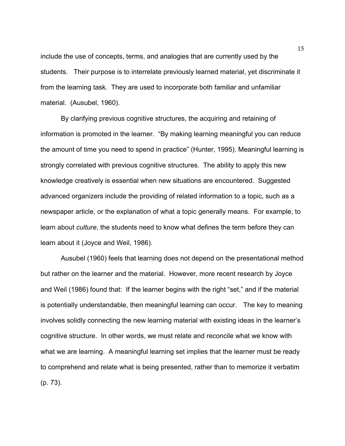include the use of concepts, terms, and analogies that are currently used by the students. Their purpose is to interrelate previously learned material, yet discriminate it from the learning task. They are used to incorporate both familiar and unfamiliar material. (Ausubel, 1960).

By clarifying previous cognitive structures, the acquiring and retaining of information is promoted in the learner. "By making learning meaningful you can reduce the amount of time you need to spend in practice" (Hunter, 1995). Meaningful learning is strongly correlated with previous cognitive structures. The ability to apply this new knowledge creatively is essential when new situations are encountered. Suggested advanced organizers include the providing of related information to a topic, such as a newspaper article, or the explanation of what a topic generally means. For example, to learn about *culture*, the students need to know what defines the term before they can learn about it (Joyce and Weil, 1986).

Ausubel (1960) feels that learning does not depend on the presentational method but rather on the learner and the material. However, more recent research by Joyce and Weil (1986) found that: If the learner begins with the right "set," and if the material is potentially understandable, then meaningful learning can occur. The key to meaning involves solidly connecting the new learning material with existing ideas in the learner's cognitive structure. In other words, we must relate and reconcile what we know with what we are learning. A meaningful learning set implies that the learner must be ready to comprehend and relate what is being presented, rather than to memorize it verbatim (p. 73).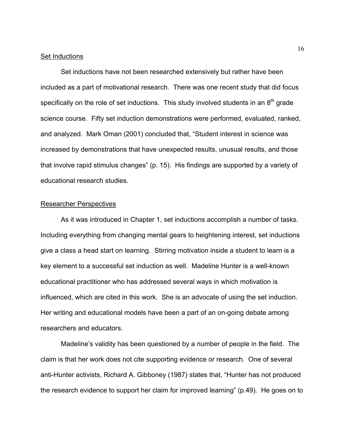#### Set Inductions

Set inductions have not been researched extensively but rather have been included as a part of motivational research. There was one recent study that did focus specifically on the role of set inductions. This study involved students in an  $8<sup>th</sup>$  grade science course. Fifty set induction demonstrations were performed, evaluated, ranked, and analyzed. Mark Oman (2001) concluded that, "Student interest in science was increased by demonstrations that have unexpected results, unusual results, and those that involve rapid stimulus changes" (p. 15). His findings are supported by a variety of educational research studies.

## Researcher Perspectives

As it was introduced in Chapter 1, set inductions accomplish a number of tasks. Including everything from changing mental gears to heightening interest, set inductions give a class a head start on learning. Stirring motivation inside a student to learn is a key element to a successful set induction as well. Madeline Hunter is a well-known educational practitioner who has addressed several ways in which motivation is influenced, which are cited in this work. She is an advocate of using the set induction. Her writing and educational models have been a part of an on-going debate among researchers and educators.

Madeline's validity has been questioned by a number of people in the field. The claim is that her work does not cite supporting evidence or research. One of several anti-Hunter activists, Richard A. Gibboney (1987) states that, "Hunter has not produced the research evidence to support her claim for improved learning" (p.49). He goes on to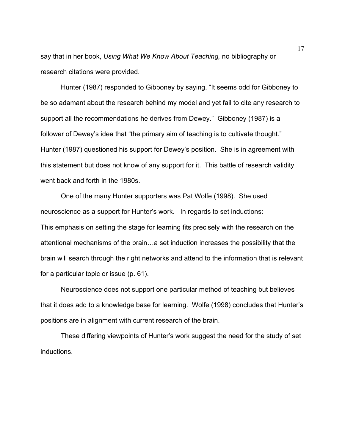say that in her book, *Using What We Know About Teaching,* no bibliography or research citations were provided.

Hunter (1987) responded to Gibboney by saying, "It seems odd for Gibboney to be so adamant about the research behind my model and yet fail to cite any research to support all the recommendations he derives from Dewey." Gibboney (1987) is a follower of Dewey's idea that "the primary aim of teaching is to cultivate thought." Hunter (1987) questioned his support for Dewey's position. She is in agreement with this statement but does not know of any support for it. This battle of research validity went back and forth in the 1980s.

One of the many Hunter supporters was Pat Wolfe (1998). She used neuroscience as a support for Hunter's work. In regards to set inductions: This emphasis on setting the stage for learning fits precisely with the research on the attentional mechanisms of the brain…a set induction increases the possibility that the brain will search through the right networks and attend to the information that is relevant for a particular topic or issue (p. 61).

Neuroscience does not support one particular method of teaching but believes that it does add to a knowledge base for learning. Wolfe (1998) concludes that Hunter's positions are in alignment with current research of the brain.

These differing viewpoints of Hunter's work suggest the need for the study of set inductions.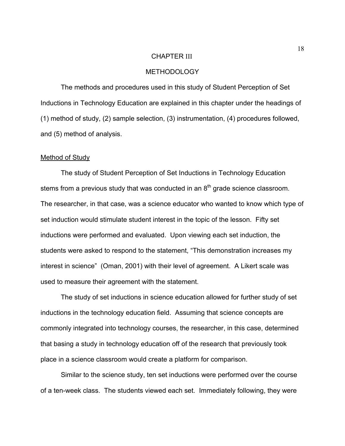#### CHAPTER III

## METHODOLOGY

 The methods and procedures used in this study of Student Perception of Set Inductions in Technology Education are explained in this chapter under the headings of (1) method of study, (2) sample selection, (3) instrumentation, (4) procedures followed, and (5) method of analysis.

## Method of Study

 The study of Student Perception of Set Inductions in Technology Education stems from a previous study that was conducted in an  $8<sup>th</sup>$  grade science classroom. The researcher, in that case, was a science educator who wanted to know which type of set induction would stimulate student interest in the topic of the lesson. Fifty set inductions were performed and evaluated. Upon viewing each set induction, the students were asked to respond to the statement, "This demonstration increases my interest in science" (Oman, 2001) with their level of agreement. A Likert scale was used to measure their agreement with the statement.

 The study of set inductions in science education allowed for further study of set inductions in the technology education field. Assuming that science concepts are commonly integrated into technology courses, the researcher, in this case, determined that basing a study in technology education off of the research that previously took place in a science classroom would create a platform for comparison.

Similar to the science study, ten set inductions were performed over the course of a ten-week class. The students viewed each set. Immediately following, they were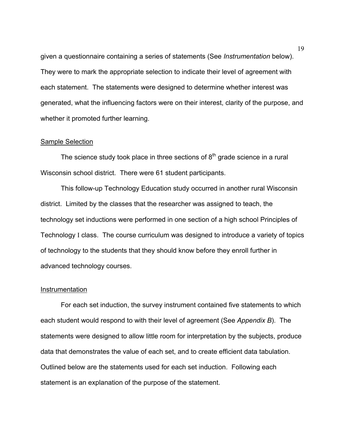given a questionnaire containing a series of statements (See *Instrumentation* below). They were to mark the appropriate selection to indicate their level of agreement with each statement. The statements were designed to determine whether interest was generated, what the influencing factors were on their interest, clarity of the purpose, and whether it promoted further learning.

#### **Sample Selection**

The science study took place in three sections of  $8<sup>th</sup>$  grade science in a rural Wisconsin school district. There were 61 student participants.

This follow-up Technology Education study occurred in another rural Wisconsin district. Limited by the classes that the researcher was assigned to teach, the technology set inductions were performed in one section of a high school Principles of Technology I class. The course curriculum was designed to introduce a variety of topics of technology to the students that they should know before they enroll further in advanced technology courses.

#### Instrumentation

For each set induction, the survey instrument contained five statements to which each student would respond to with their level of agreement (See *Appendix B*). The statements were designed to allow little room for interpretation by the subjects, produce data that demonstrates the value of each set, and to create efficient data tabulation. Outlined below are the statements used for each set induction. Following each statement is an explanation of the purpose of the statement.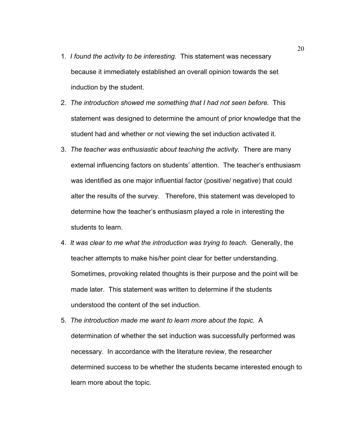- 1*. I found the activity to be interesting.* This statement was necessary because it immediately established an overall opinion towards the set induction by the student.
- 2. *The introduction showed me something that I had not seen before.* This statement was designed to determine the amount of prior knowledge that the student had and whether or not viewing the set induction activated it.
- 3. *The teacher was enthusiastic about teaching the activity.* There are many external influencing factors on students' attention. The teacher's enthusiasm was identified as one major influential factor (positive/ negative) that could alter the results of the survey. Therefore, this statement was developed to determine how the teacher's enthusiasm played a role in interesting the students to learn.
- 4. *It was clear to me what the introduction was trying to teach.* Generally, the teacher attempts to make his/her point clear for better understanding. Sometimes, provoking related thoughts is their purpose and the point will be made later. This statement was written to determine if the students understood the content of the set induction.
- 5. *The introduction made me want to learn more about the topic.* A determination of whether the set induction was successfully performed was necessary. In accordance with the literature review, the researcher determined success to be whether the students became interested enough to learn more about the topic.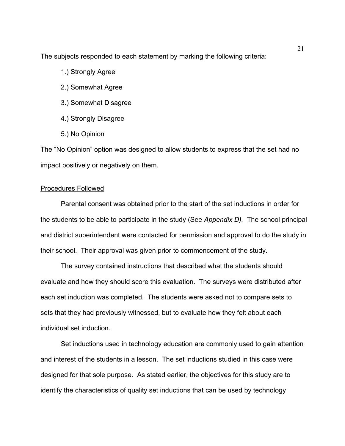The subjects responded to each statement by marking the following criteria:

- 1.) Strongly Agree
- 2.) Somewhat Agree
- 3.) Somewhat Disagree
- 4.) Strongly Disagree
- 5.) No Opinion

The "No Opinion" option was designed to allow students to express that the set had no impact positively or negatively on them.

## Procedures Followed

Parental consent was obtained prior to the start of the set inductions in order for the students to be able to participate in the study (See *Appendix D).* The school principal and district superintendent were contacted for permission and approval to do the study in their school. Their approval was given prior to commencement of the study.

The survey contained instructions that described what the students should evaluate and how they should score this evaluation. The surveys were distributed after each set induction was completed. The students were asked not to compare sets to sets that they had previously witnessed, but to evaluate how they felt about each individual set induction.

Set inductions used in technology education are commonly used to gain attention and interest of the students in a lesson. The set inductions studied in this case were designed for that sole purpose. As stated earlier, the objectives for this study are to identify the characteristics of quality set inductions that can be used by technology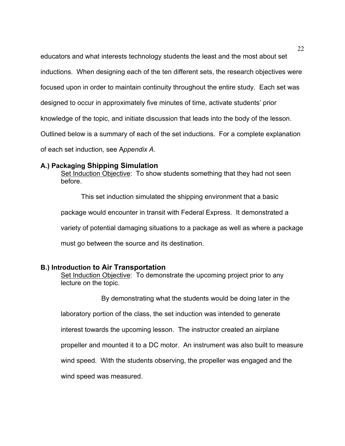educators and what interests technology students the least and the most about set inductions. When designing each of the ten different sets, the research objectives were focused upon in order to maintain continuity throughout the entire study. Each set was designed to occur in approximately five minutes of time, activate students' prior knowledge of the topic, and initiate discussion that leads into the body of the lesson. Outlined below is a summary of each of the set inductions. For a complete explanation of each set induction, see A*ppendix A.*

## **A.) Packaging Shipping Simulation**

Set Induction Objective: To show students something that they had not seen before.

This set induction simulated the shipping environment that a basic package would encounter in transit with Federal Express. It demonstrated a variety of potential damaging situations to a package as well as where a package must go between the source and its destination.

## **B.) Introduction to Air Transportation**

Set Induction Objective: To demonstrate the upcoming project prior to any lecture on the topic.

By demonstrating what the students would be doing later in the

laboratory portion of the class, the set induction was intended to generate

interest towards the upcoming lesson. The instructor created an airplane

propeller and mounted it to a DC motor. An instrument was also built to measure

wind speed. With the students observing, the propeller was engaged and the

wind speed was measured.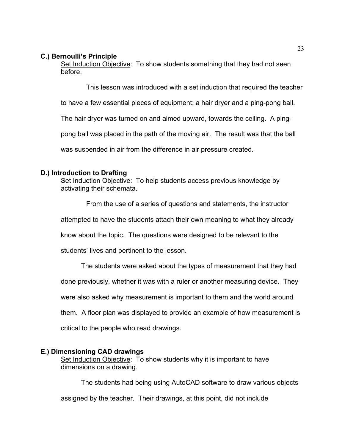## **C.) Bernoulli's Principle**

Set Induction Objective: To show students something that they had not seen before.

This lesson was introduced with a set induction that required the teacher

to have a few essential pieces of equipment; a hair dryer and a ping-pong ball.

The hair dryer was turned on and aimed upward, towards the ceiling. A ping-

pong ball was placed in the path of the moving air. The result was that the ball

was suspended in air from the difference in air pressure created.

## **D.) Introduction to Drafting**

Set Induction Objective: To help students access previous knowledge by activating their schemata.

From the use of a series of questions and statements, the instructor attempted to have the students attach their own meaning to what they already

know about the topic. The questions were designed to be relevant to the

students' lives and pertinent to the lesson.

The students were asked about the types of measurement that they had

done previously, whether it was with a ruler or another measuring device. They

were also asked why measurement is important to them and the world around

them. A floor plan was displayed to provide an example of how measurement is

critical to the people who read drawings.

## **E.) Dimensioning CAD drawings**

Set Induction Objective: To show students why it is important to have dimensions on a drawing.

The students had being using AutoCAD software to draw various objects

assigned by the teacher. Their drawings, at this point, did not include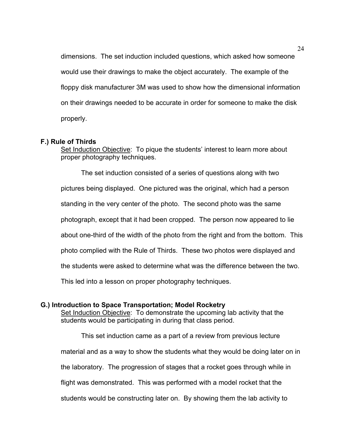dimensions. The set induction included questions, which asked how someone would use their drawings to make the object accurately. The example of the floppy disk manufacturer 3M was used to show how the dimensional information on their drawings needed to be accurate in order for someone to make the disk properly.

## **F.) Rule of Thirds**

Set Induction Objective: To pique the students' interest to learn more about proper photography techniques.

 The set induction consisted of a series of questions along with two pictures being displayed. One pictured was the original, which had a person standing in the very center of the photo. The second photo was the same photograph, except that it had been cropped. The person now appeared to lie about one-third of the width of the photo from the right and from the bottom. This photo complied with the Rule of Thirds. These two photos were displayed and the students were asked to determine what was the difference between the two. This led into a lesson on proper photography techniques.

## **G.) Introduction to Space Transportation; Model Rocketry**

Set Induction Objective: To demonstrate the upcoming lab activity that the students would be participating in during that class period.

 This set induction came as a part of a review from previous lecture material and as a way to show the students what they would be doing later on in the laboratory. The progression of stages that a rocket goes through while in flight was demonstrated. This was performed with a model rocket that the students would be constructing later on. By showing them the lab activity to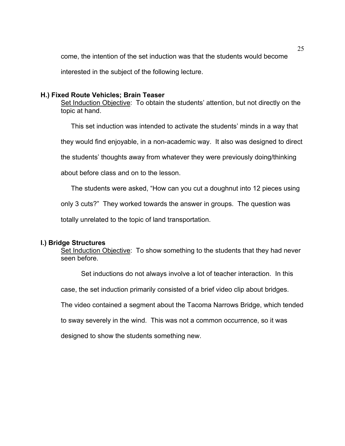come, the intention of the set induction was that the students would become

interested in the subject of the following lecture.

## **H.) Fixed Route Vehicles; Brain Teaser**

Set Induction Objective: To obtain the students' attention, but not directly on the topic at hand.

This set induction was intended to activate the students' minds in a way that

they would find enjoyable, in a non-academic way. It also was designed to direct

the students' thoughts away from whatever they were previously doing/thinking

about before class and on to the lesson.

The students were asked, "How can you cut a doughnut into 12 pieces using

only 3 cuts?" They worked towards the answer in groups. The question was

totally unrelated to the topic of land transportation.

## **I.) Bridge Structures**

Set Induction Objective: To show something to the students that they had never seen before.

Set inductions do not always involve a lot of teacher interaction. In this

case, the set induction primarily consisted of a brief video clip about bridges.

The video contained a segment about the Tacoma Narrows Bridge, which tended

to sway severely in the wind. This was not a common occurrence, so it was

designed to show the students something new.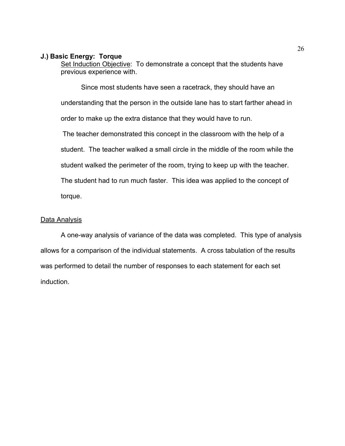## **J.) Basic Energy: Torque**

Set Induction Objective: To demonstrate a concept that the students have previous experience with.

Since most students have seen a racetrack, they should have an understanding that the person in the outside lane has to start farther ahead in order to make up the extra distance that they would have to run.

 The teacher demonstrated this concept in the classroom with the help of a student. The teacher walked a small circle in the middle of the room while the student walked the perimeter of the room, trying to keep up with the teacher. The student had to run much faster. This idea was applied to the concept of torque.

## Data Analysis

A one-way analysis of variance of the data was completed. This type of analysis allows for a comparison of the individual statements. A cross tabulation of the results was performed to detail the number of responses to each statement for each set induction.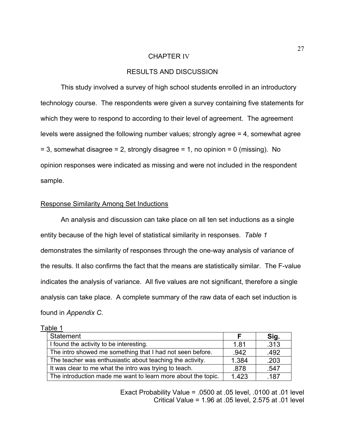#### CHAPTER IV

## RESULTS AND DISCUSSION

 This study involved a survey of high school students enrolled in an introductory technology course. The respondents were given a survey containing five statements for which they were to respond to according to their level of agreement. The agreement levels were assigned the following number values; strongly agree = 4, somewhat agree  $= 3$ , somewhat disagree  $= 2$ , strongly disagree  $= 1$ , no opinion  $= 0$  (missing). No opinion responses were indicated as missing and were not included in the respondent sample.

## Response Similarity Among Set Inductions

An analysis and discussion can take place on all ten set inductions as a single entity because of the high level of statistical similarity in responses. *Table 1* demonstrates the similarity of responses through the one-way analysis of variance of the results. It also confirms the fact that the means are statistically similar. The F-value indicates the analysis of variance. All five values are not significant, therefore a single analysis can take place. A complete summary of the raw data of each set induction is found in *Appendix C.*

| Table 1                                                      |       |      |
|--------------------------------------------------------------|-------|------|
| Statement                                                    |       | Sig. |
| I found the activity to be interesting.                      | 1.81  | .313 |
| The intro showed me something that I had not seen before.    | .942  | .492 |
| The teacher was enthusiastic about teaching the activity.    | 1.384 | .203 |
| It was clear to me what the intro was trying to teach.       | .878  | .547 |
| The introduction made me want to learn more about the topic. | 1.423 | .187 |

Exact Probability Value = .0500 at .05 level, .0100 at .01 level Critical Value = 1.96 at .05 level, 2.575 at .01 level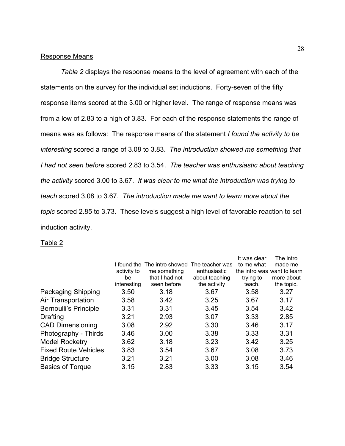## Response Means

*Table 2* displays the response means to the level of agreement with each of the statements on the survey for the individual set inductions. Forty-seven of the fifty response items scored at the 3.00 or higher level. The range of response means was from a low of 2.83 to a high of 3.83. For each of the response statements the range of means was as follows: The response means of the statement *I found the activity to be interesting* scored a range of 3.08 to 3.83. *The introduction showed me something that I had not seen before* scored 2.83 to 3.54. *The teacher was enthusiastic about teaching the activity* scored 3.00 to 3.67. *It was clear to me what the introduction was trying to teach* scored 3.08 to 3.67. *The introduction made me want to learn more about the topic* scored 2.85 to 3.73. These levels suggest a high level of favorable reaction to set induction activity.

## Table 2

|                              |             |                              |                 | It was clear                | The intro  |
|------------------------------|-------------|------------------------------|-----------------|-----------------------------|------------|
|                              |             | I found the The intro showed | The teacher was | to me what                  | made me    |
|                              | activity to | me something                 | enthusiastic    | the intro was want to learn |            |
|                              | be          | that I had not               | about teaching  | trying to                   | more about |
|                              | interesting | seen before                  | the activity    | teach.                      | the topic. |
| <b>Packaging Shipping</b>    | 3.50        | 3.18                         | 3.67            | 3.58                        | 3.27       |
| Air Transportation           | 3.58        | 3.42                         | 3.25            | 3.67                        | 3.17       |
| <b>Bernoulli's Principle</b> | 3.31        | 3.31                         | 3.45            | 3.54                        | 3.42       |
| Drafting                     | 3.21        | 2.93                         | 3.07            | 3.33                        | 2.85       |
| <b>CAD Dimensioning</b>      | 3.08        | 2.92                         | 3.30            | 3.46                        | 3.17       |
| Photography - Thirds         | 3.46        | 3.00                         | 3.38            | 3.33                        | 3.31       |
| <b>Model Rocketry</b>        | 3.62        | 3.18                         | 3.23            | 3.42                        | 3.25       |
| <b>Fixed Route Vehicles</b>  | 3.83        | 3.54                         | 3.67            | 3.08                        | 3.73       |
| <b>Bridge Structure</b>      | 3.21        | 3.21                         | 3.00            | 3.08                        | 3.46       |
| <b>Basics of Torque</b>      | 3.15        | 2.83                         | 3.33            | 3.15                        | 3.54       |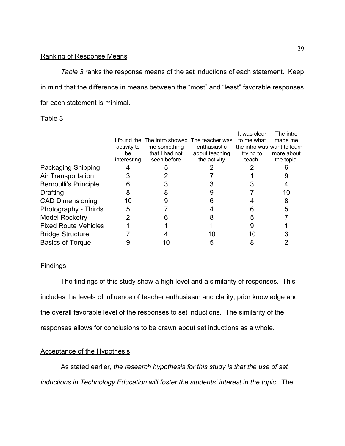## Ranking of Response Means

*Table 3* ranks the response means of the set inductions of each statement. Keep in mind that the difference in means between the "most" and "least" favorable responses for each statement is minimal.

## Table 3

|                              |             |                            |                 | It was clear                | The intro  |
|------------------------------|-------------|----------------------------|-----------------|-----------------------------|------------|
|                              |             | found the The intro showed | The teacher was | to me what                  | made me    |
|                              | activity to | me something               | enthusiastic    | the intro was want to learn |            |
|                              | be          | that I had not             | about teaching  | trying to                   | more about |
|                              | interesting | seen before                | the activity    | teach.                      | the topic. |
| <b>Packaging Shipping</b>    |             |                            |                 |                             |            |
| Air Transportation           |             |                            |                 |                             |            |
| <b>Bernoulli's Principle</b> |             |                            |                 |                             |            |
| <b>Drafting</b>              |             |                            |                 |                             | 10         |
| <b>CAD Dimensioning</b>      | 10          |                            |                 |                             |            |
| Photography - Thirds         | 5           |                            |                 |                             |            |
| <b>Model Rocketry</b>        |             |                            |                 |                             |            |
| <b>Fixed Route Vehicles</b>  |             |                            |                 |                             |            |
| <b>Bridge Structure</b>      |             |                            | 10              | 10                          |            |
| <b>Basics of Torque</b>      |             |                            |                 |                             |            |

## **Findings**

 The findings of this study show a high level and a similarity of responses. This includes the levels of influence of teacher enthusiasm and clarity, prior knowledge and the overall favorable level of the responses to set inductions. The similarity of the responses allows for conclusions to be drawn about set inductions as a whole.

## Acceptance of the Hypothesis

As stated earlier, *the research hypothesis for this study is that the use of set inductions in Technology Education will foster the students' interest in the topic.* The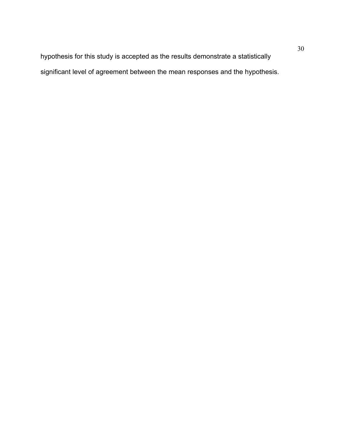hypothesis for this study is accepted as the results demonstrate a statistically significant level of agreement between the mean responses and the hypothesis.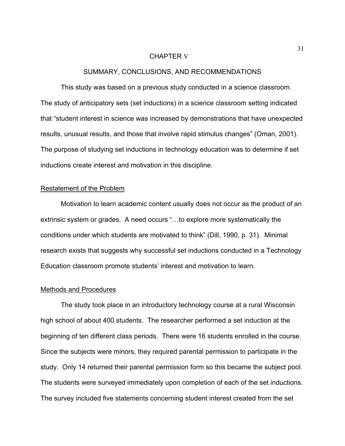#### CHAPTER V

## SUMMARY, CONCLUSIONS, AND RECOMMENDATIONS

 This study was based on a previous study conducted in a science classroom. The study of anticipatory sets (set inductions) in a science classroom setting indicated that "student interest in science was increased by demonstrations that have unexpected results, unusual results, and those that involve rapid stimulus changes" (Oman, 2001). The purpose of studying set inductions in technology education was to determine if set inductions create interest and motivation in this discipline.

#### Restatement of the Problem

Motivation to learn academic content usually does not occur as the product of an extrinsic system or grades. A need occurs "…to explore more systematically the conditions under which students are motivated to think" (Dill, 1990, p. 31). Minimal research exists that suggests why successful set inductions conducted in a Technology Education classroom promote students' interest and motivation to learn.

## Methods and Procedures

The study took place in an introductory technology course at a rural Wisconsin high school of about 400 students. The researcher performed a set induction at the beginning of ten different class periods. There were 16 students enrolled in the course. Since the subjects were minors, they required parental permission to participate in the study. Only 14 returned their parental permission form so this became the subject pool. The students were surveyed immediately upon completion of each of the set inductions. The survey included five statements concerning student interest created from the set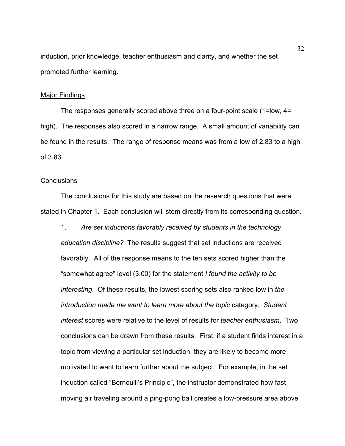induction, prior knowledge, teacher enthusiasm and clarity, and whether the set promoted further learning.

#### Major Findings

 The responses generally scored above three on a four-point scale (1=low, 4= high). The responses also scored in a narrow range. A small amount of variability can be found in the results. The range of response means was from a low of 2.83 to a high of 3.83.

#### **Conclusions**

 The conclusions for this study are based on the research questions that were stated in Chapter 1. Each conclusion will stem directly from its corresponding question.

1. *Are set inductions favorably received by students in the technology education discipline?* The results suggest that set inductions are received favorably. All of the response means to the ten sets scored higher than the "somewhat agree" level (3.00) for the statement *I found the activity to be interesting*. Of these results, the lowest scoring sets also ranked low in *the introduction made me want to learn more about the topic* category. *Student interest* scores were relative to the level of results for *teacher enthusiasm*. Two conclusions can be drawn from these results. First, if a student finds interest in a topic from viewing a particular set induction, they are likely to become more motivated to want to learn further about the subject. For example, in the set induction called "Bernoulli's Principle", the instructor demonstrated how fast moving air traveling around a ping-pong ball creates a low-pressure area above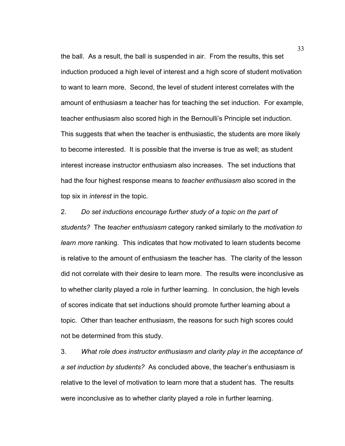the ball. As a result, the ball is suspended in air. From the results, this set induction produced a high level of interest and a high score of student motivation to want to learn more. Second, the level of student interest correlates with the amount of enthusiasm a teacher has for teaching the set induction. For example, teacher enthusiasm also scored high in the Bernoulli's Principle set induction. This suggests that when the teacher is enthusiastic, the students are more likely to become interested. It is possible that the inverse is true as well; as student interest increase instructor enthusiasm also increases. The set inductions that had the four highest response means to *teacher enthusiasm* also scored in the top six in *interest* in the topic.

2. *Do set inductions encourage further study of a topic on the part of students?* The *teacher enthusiasm* category ranked similarly to the *motivation to learn more* ranking. This indicates that how motivated to learn students become is relative to the amount of enthusiasm the teacher has. The clarity of the lesson did not correlate with their desire to learn more. The results were inconclusive as to whether clarity played a role in further learning. In conclusion, the high levels of scores indicate that set inductions should promote further learning about a topic. Other than teacher enthusiasm, the reasons for such high scores could not be determined from this study.

3. *What role does instructor enthusiasm and clarity play in the acceptance of a set induction by students?* As concluded above, the teacher's enthusiasm is relative to the level of motivation to learn more that a student has. The results were inconclusive as to whether clarity played a role in further learning.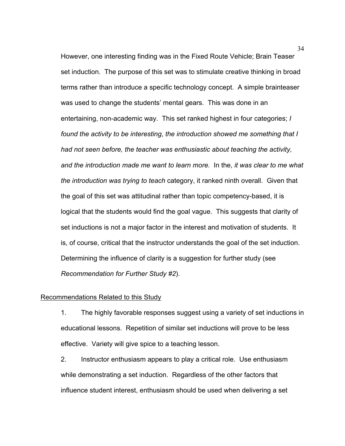However, one interesting finding was in the Fixed Route Vehicle; Brain Teaser set induction. The purpose of this set was to stimulate creative thinking in broad terms rather than introduce a specific technology concept. A simple brainteaser was used to change the students' mental gears. This was done in an entertaining, non-academic way. This set ranked highest in four categories; *I found the activity to be interesting*, *the introduction showed me something that I had not seen before, the teacher was enthusiastic about teaching the activity, and the introduction made me want to learn more.* In the, *it was clear to me what the introduction was trying to teach* category, it ranked ninth overall. Given that the goal of this set was attitudinal rather than topic competency-based, it is logical that the students would find the goal vague. This suggests that clarity of set inductions is not a major factor in the interest and motivation of students. It is, of course, critical that the instructor understands the goal of the set induction. Determining the influence of clarity is a suggestion for further study (see *Recommendation for Further Study #2*).

## Recommendations Related to this Study

1. The highly favorable responses suggest using a variety of set inductions in educational lessons. Repetition of similar set inductions will prove to be less effective. Variety will give spice to a teaching lesson.

2. Instructor enthusiasm appears to play a critical role. Use enthusiasm while demonstrating a set induction. Regardless of the other factors that influence student interest, enthusiasm should be used when delivering a set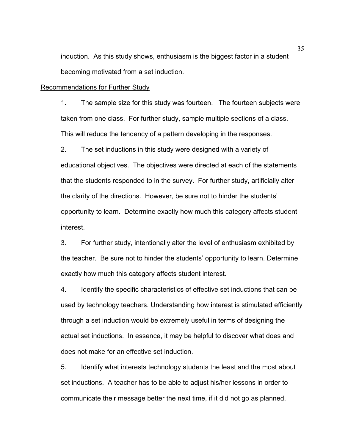induction. As this study shows, enthusiasm is the biggest factor in a student becoming motivated from a set induction.

#### Recommendations for Further Study

1. The sample size for this study was fourteen. The fourteen subjects were taken from one class. For further study, sample multiple sections of a class. This will reduce the tendency of a pattern developing in the responses.

2. The set inductions in this study were designed with a variety of educational objectives. The objectives were directed at each of the statements that the students responded to in the survey. For further study, artificially alter the clarity of the directions. However, be sure not to hinder the students' opportunity to learn. Determine exactly how much this category affects student interest.

3. For further study, intentionally alter the level of enthusiasm exhibited by the teacher. Be sure not to hinder the students' opportunity to learn. Determine exactly how much this category affects student interest.

4. Identify the specific characteristics of effective set inductions that can be used by technology teachers. Understanding how interest is stimulated efficiently through a set induction would be extremely useful in terms of designing the actual set inductions. In essence, it may be helpful to discover what does and does not make for an effective set induction.

5. Identify what interests technology students the least and the most about set inductions. A teacher has to be able to adjust his/her lessons in order to communicate their message better the next time, if it did not go as planned.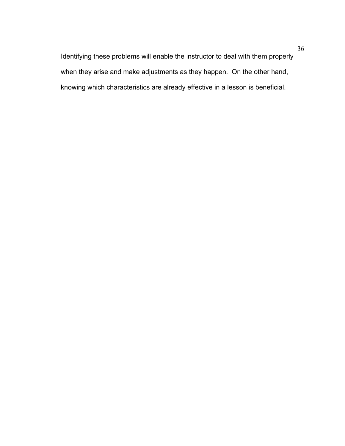Identifying these problems will enable the instructor to deal with them properly when they arise and make adjustments as they happen. On the other hand, knowing which characteristics are already effective in a lesson is beneficial.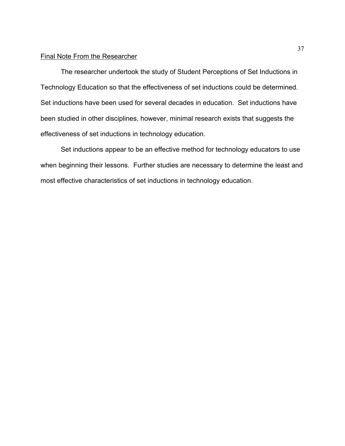## Final Note From the Researcher

 The researcher undertook the study of Student Perceptions of Set Inductions in Technology Education so that the effectiveness of set inductions could be determined. Set inductions have been used for several decades in education. Set inductions have been studied in other disciplines, however, minimal research exists that suggests the effectiveness of set inductions in technology education.

 Set inductions appear to be an effective method for technology educators to use when beginning their lessons. Further studies are necessary to determine the least and most effective characteristics of set inductions in technology education.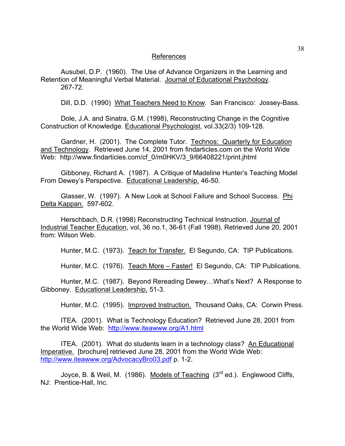## References

Ausubel, D.P. (1960). The Use of Advance Organizers in the Learning and Retention of Meaningful Verbal Material. Journal of Educational Psychology. 267-72.

Dill, D.D. (1990) What Teachers Need to Know. San Francisco: Jossey-Bass.

Dole, J.A. and Sinatra, G.M. (1998), Reconstructing Change in the Cognitive Construction of Knowledge. Educational Psychologist, vol.33(2/3) 109-128.

Gardner, H. (2001). The Complete Tutor. Technos: Quarterly for Education and Technology. Retrieved June 14, 2001 from findarticles.com on the World Wide Web: http://www.findarticles.com/cf\_0/m0HKV/3\_9/66408221/print.jhtml

Gibboney, Richard A. (1987). A Critique of Madeline Hunter's Teaching Model From Dewey's Perspective. Educational Leadership, 46-50.

Glasser, W. (1997). A New Look at School Failure and School Success. Phi Delta Kappan. 597-602.

Herschbach, D.R. (1998) Reconstructing Technical Instruction. Journal of Industrial Teacher Education, vol, 36 no.1, 36-61 (Fall 1998). Retrieved June 20, 2001 from: Wilson Web.

Hunter, M.C. (1973). Teach for Transfer. El Segundo, CA: TIP Publications.

Hunter, M.C. (1976). Teach More – Faster! El Segundo, CA: TIP Publications.

Hunter, M.C. (1987). Beyond Rereading Dewey…What's Next? A Response to Gibboney. Educational Leadership, 51-3.

Hunter, M.C. (1995). Improved Instruction. Thousand Oaks, CA: Corwin Press.

ITEA. (2001). What is Technology Education? Retrieved June 28, 2001 from the World Wide Web: <http://www.iteawww.org/A1.html>

ITEA. (2001). What do students learn in a technology class? An Educational Imperative. [brochure] retrieved June 28, 2001 from the World Wide Web: <http://www.iteawww.org/AdvocacyBro03.pdf>p. 1-2.

Joyce, B. & Weil, M. (1986). Models of Teaching (3<sup>rd</sup> ed.). Englewood Cliffs, NJ: Prentice-Hall, Inc.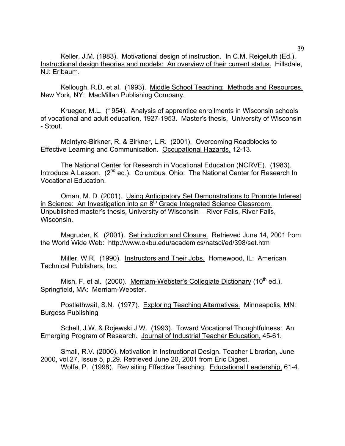Keller, J.M. (1983). Motivational design of instruction. In C.M. Reigeluth (Ed.), Instructional design theories and models: An overview of their current status. Hillsdale, NJ: Erlbaum.

Kellough, R.D. et al. (1993). Middle School Teaching: Methods and Resources. New York, NY: MacMillan Publishing Company.

Krueger, M.L. (1954). Analysis of apprentice enrollments in Wisconsin schools of vocational and adult education, 1927-1953. Master's thesis, University of Wisconsin - Stout.

McIntyre-Birkner, R. & Birkner, L.R. (2001). Overcoming Roadblocks to Effective Learning and Communication. Occupational Hazards, 12-13.

The National Center for Research in Vocational Education (NCRVE). (1983). Introduce A Lesson. (2<sup>nd</sup> ed.). Columbus, Ohio: The National Center for Research In Vocational Education.

Oman, M. D. (2001). Using Anticipatory Set Demonstrations to Promote Interest in Science: An Investigation into an 8<sup>th</sup> Grade Integrated Science Classroom. Unpublished master's thesis, University of Wisconsin – River Falls, River Falls, Wisconsin.

Magruder, K. (2001). Set induction and Closure. Retrieved June 14, 2001 from the World Wide Web: http://www.okbu.edu/academics/natsci/ed/398/set.htm

Miller, W.R. (1990). Instructors and Their Jobs. Homewood, IL: American Technical Publishers, Inc.

Mish, F. et al. (2000). Merriam-Webster's Collegiate Dictionary (10<sup>th</sup> ed.). Springfield, MA: Merriam-Webster.

Postlethwait, S.N. (1977). Exploring Teaching Alternatives. Minneapolis, MN: Burgess Publishing

Schell, J.W. & Rojewski J.W. (1993). Toward Vocational Thoughtfulness: An Emerging Program of Research. Journal of Industrial Teacher Education, 45-61.

Small, R.V. (2000). Motivation in Instructional Design. Teacher Librarian, June 2000, vol.27, Issue 5, p.29. Retrieved June 20, 2001 from Eric Digest. Wolfe, P. (1998). Revisiting Effective Teaching. Educational Leadership, 61-4.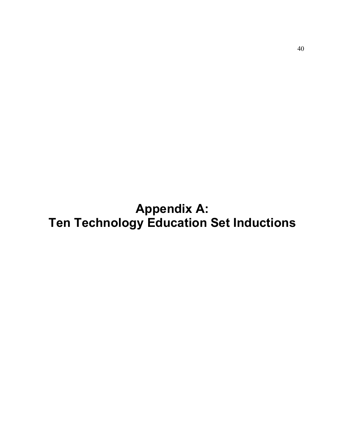**Appendix A: Ten Technology Education Set Inductions**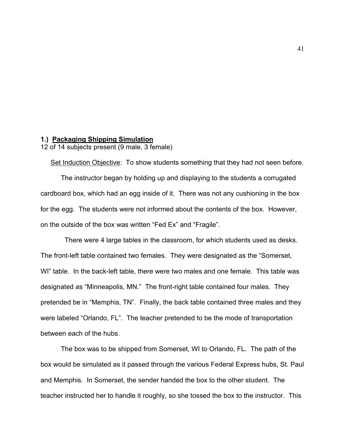## **1.) Packaging Shipping Simulation**

12 of 14 subjects present (9 male, 3 female)

The instructor began by holding up and displaying to the students a corrugated cardboard box, which had an egg inside of it. There was not any cushioning in the box for the egg. The students were not informed about the contents of the box. However, on the outside of the box was written "Fed Ex" and "Fragile".

Set Induction Objective: To show students something that they had not seen before.

 There were 4 large tables in the classroom, for which students used as desks. The front-left table contained two females. They were designated as the "Somerset, WI" table. In the back-left table, there were two males and one female. This table was designated as "Minneapolis, MN." The front-right table contained four males. They pretended be in "Memphis, TN". Finally, the back table contained three males and they were labeled "Orlando, FL". The teacher pretended to be the mode of transportation between each of the hubs.

The box was to be shipped from Somerset, WI to Orlando, FL. The path of the box would be simulated as it passed through the various Federal Express hubs, St. Paul and Memphis. In Somerset, the sender handed the box to the other student. The teacher instructed her to handle it roughly, so she tossed the box to the instructor. This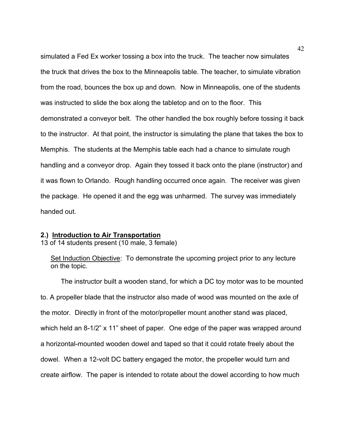simulated a Fed Ex worker tossing a box into the truck. The teacher now simulates the truck that drives the box to the Minneapolis table. The teacher, to simulate vibration from the road, bounces the box up and down. Now in Minneapolis, one of the students was instructed to slide the box along the tabletop and on to the floor. This demonstrated a conveyor belt. The other handled the box roughly before tossing it back to the instructor. At that point, the instructor is simulating the plane that takes the box to Memphis. The students at the Memphis table each had a chance to simulate rough handling and a conveyor drop. Again they tossed it back onto the plane (instructor) and it was flown to Orlando. Rough handling occurred once again. The receiver was given the package. He opened it and the egg was unharmed. The survey was immediately handed out.

#### **2.) Introduction to Air Transportation**

13 of 14 students present (10 male, 3 female)

Set Induction Objective: To demonstrate the upcoming project prior to any lecture on the topic.

The instructor built a wooden stand, for which a DC toy motor was to be mounted to. A propeller blade that the instructor also made of wood was mounted on the axle of the motor. Directly in front of the motor/propeller mount another stand was placed, which held an 8-1/2" x 11" sheet of paper. One edge of the paper was wrapped around a horizontal-mounted wooden dowel and taped so that it could rotate freely about the dowel. When a 12-volt DC battery engaged the motor, the propeller would turn and create airflow. The paper is intended to rotate about the dowel according to how much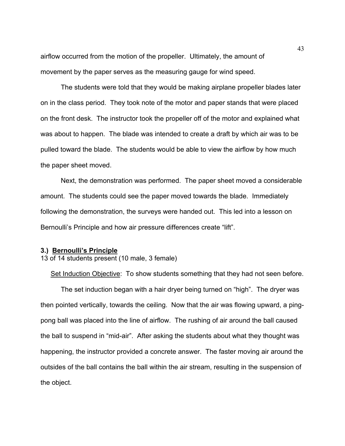airflow occurred from the motion of the propeller. Ultimately, the amount of movement by the paper serves as the measuring gauge for wind speed.

The students were told that they would be making airplane propeller blades later on in the class period. They took note of the motor and paper stands that were placed on the front desk. The instructor took the propeller off of the motor and explained what was about to happen. The blade was intended to create a draft by which air was to be pulled toward the blade. The students would be able to view the airflow by how much the paper sheet moved.

Next, the demonstration was performed. The paper sheet moved a considerable amount. The students could see the paper moved towards the blade. Immediately following the demonstration, the surveys were handed out. This led into a lesson on Bernoulli's Principle and how air pressure differences create "lift".

## **3.) Bernoulli's Principle**

13 of 14 students present (10 male, 3 female)

Set Induction Objective: To show students something that they had not seen before.

The set induction began with a hair dryer being turned on "high". The dryer was then pointed vertically, towards the ceiling. Now that the air was flowing upward, a pingpong ball was placed into the line of airflow. The rushing of air around the ball caused the ball to suspend in "mid-air". After asking the students about what they thought was happening, the instructor provided a concrete answer. The faster moving air around the outsides of the ball contains the ball within the air stream, resulting in the suspension of the object.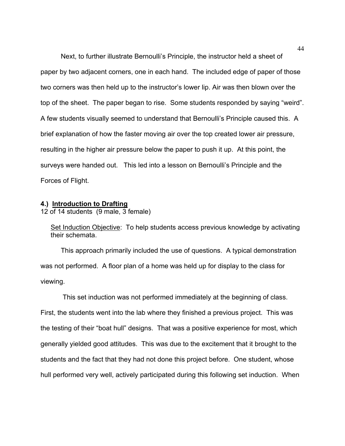Next, to further illustrate Bernoulli's Principle, the instructor held a sheet of paper by two adjacent corners, one in each hand. The included edge of paper of those two corners was then held up to the instructor's lower lip. Air was then blown over the top of the sheet. The paper began to rise. Some students responded by saying "weird". A few students visually seemed to understand that Bernoulli's Principle caused this. A brief explanation of how the faster moving air over the top created lower air pressure, resulting in the higher air pressure below the paper to push it up. At this point, the surveys were handed out. This led into a lesson on Bernoulli's Principle and the Forces of Flight.

#### **4.) Introduction to Drafting**

12 of 14 students (9 male, 3 female)

Set Induction Objective: To help students access previous knowledge by activating their schemata.

This approach primarily included the use of questions. A typical demonstration was not performed. A floor plan of a home was held up for display to the class for viewing.

 This set induction was not performed immediately at the beginning of class. First, the students went into the lab where they finished a previous project. This was the testing of their "boat hull" designs. That was a positive experience for most, which generally yielded good attitudes. This was due to the excitement that it brought to the students and the fact that they had not done this project before. One student, whose hull performed very well, actively participated during this following set induction. When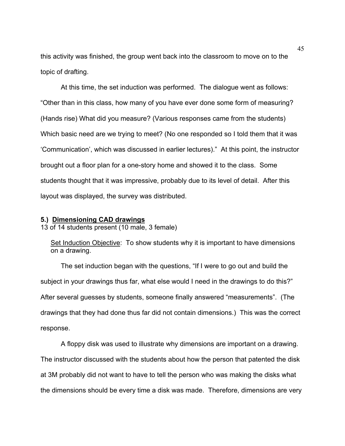this activity was finished, the group went back into the classroom to move on to the topic of drafting.

At this time, the set induction was performed. The dialogue went as follows: "Other than in this class, how many of you have ever done some form of measuring? (Hands rise) What did you measure? (Various responses came from the students) Which basic need are we trying to meet? (No one responded so I told them that it was 'Communication', which was discussed in earlier lectures)." At this point, the instructor brought out a floor plan for a one-story home and showed it to the class. Some students thought that it was impressive, probably due to its level of detail. After this layout was displayed, the survey was distributed.

#### **5.) Dimensioning CAD drawings**

13 of 14 students present (10 male, 3 female)

Set Induction Objective: To show students why it is important to have dimensions on a drawing.

The set induction began with the questions, "If I were to go out and build the subject in your drawings thus far, what else would I need in the drawings to do this?" After several guesses by students, someone finally answered "measurements". (The drawings that they had done thus far did not contain dimensions.) This was the correct response.

A floppy disk was used to illustrate why dimensions are important on a drawing. The instructor discussed with the students about how the person that patented the disk at 3M probably did not want to have to tell the person who was making the disks what the dimensions should be every time a disk was made. Therefore, dimensions are very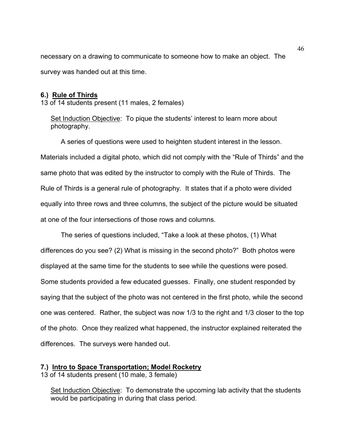necessary on a drawing to communicate to someone how to make an object. The survey was handed out at this time.

## **6.) Rule of Thirds**

13 of 14 students present (11 males, 2 females)

Set Induction Objective: To pique the students' interest to learn more about photography.

A series of questions were used to heighten student interest in the lesson. Materials included a digital photo, which did not comply with the "Rule of Thirds" and the same photo that was edited by the instructor to comply with the Rule of Thirds. The Rule of Thirds is a general rule of photography. It states that if a photo were divided equally into three rows and three columns, the subject of the picture would be situated at one of the four intersections of those rows and columns.

The series of questions included, "Take a look at these photos, (1) What differences do you see? (2) What is missing in the second photo?" Both photos were displayed at the same time for the students to see while the questions were posed. Some students provided a few educated guesses. Finally, one student responded by saying that the subject of the photo was not centered in the first photo, while the second one was centered. Rather, the subject was now 1/3 to the right and 1/3 closer to the top of the photo. Once they realized what happened, the instructor explained reiterated the differences. The surveys were handed out.

## **7.) Intro to Space Transportation; Model Rocketry**

13 of 14 students present (10 male, 3 female)

Set Induction Objective: To demonstrate the upcoming lab activity that the students would be participating in during that class period.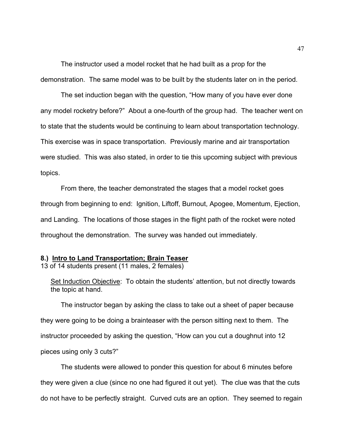The instructor used a model rocket that he had built as a prop for the demonstration. The same model was to be built by the students later on in the period.

The set induction began with the question, "How many of you have ever done any model rocketry before?" About a one-fourth of the group had. The teacher went on to state that the students would be continuing to learn about transportation technology. This exercise was in space transportation. Previously marine and air transportation were studied. This was also stated, in order to tie this upcoming subject with previous topics.

From there, the teacher demonstrated the stages that a model rocket goes through from beginning to end: Ignition, Liftoff, Burnout, Apogee, Momentum, Ejection, and Landing. The locations of those stages in the flight path of the rocket were noted throughout the demonstration. The survey was handed out immediately.

## **8.) Intro to Land Transportation; Brain Teaser**

13 of 14 students present (11 males, 2 females)

Set Induction Objective: To obtain the students' attention, but not directly towards the topic at hand.

The instructor began by asking the class to take out a sheet of paper because they were going to be doing a brainteaser with the person sitting next to them. The instructor proceeded by asking the question, "How can you cut a doughnut into 12 pieces using only 3 cuts?"

The students were allowed to ponder this question for about 6 minutes before they were given a clue (since no one had figured it out yet). The clue was that the cuts do not have to be perfectly straight. Curved cuts are an option. They seemed to regain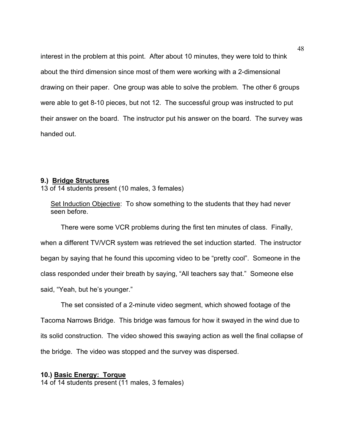interest in the problem at this point. After about 10 minutes, they were told to think about the third dimension since most of them were working with a 2-dimensional drawing on their paper. One group was able to solve the problem. The other 6 groups were able to get 8-10 pieces, but not 12. The successful group was instructed to put their answer on the board. The instructor put his answer on the board. The survey was handed out.

## **9.) Bridge Structures**

13 of 14 students present (10 males, 3 females)

Set Induction Objective: To show something to the students that they had never seen before.

There were some VCR problems during the first ten minutes of class. Finally, when a different TV/VCR system was retrieved the set induction started. The instructor began by saying that he found this upcoming video to be "pretty cool". Someone in the class responded under their breath by saying, "All teachers say that." Someone else said, "Yeah, but he's younger."

The set consisted of a 2-minute video segment, which showed footage of the Tacoma Narrows Bridge. This bridge was famous for how it swayed in the wind due to its solid construction. The video showed this swaying action as well the final collapse of the bridge. The video was stopped and the survey was dispersed.

## **10.) Basic Energy: Torque**

14 of 14 students present (11 males, 3 females)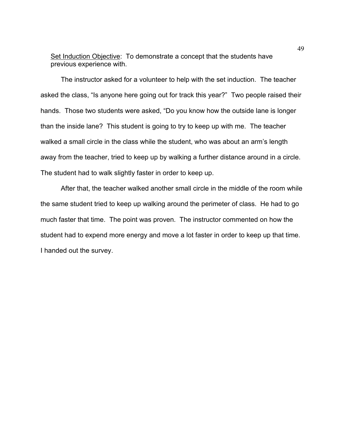Set Induction Objective: To demonstrate a concept that the students have previous experience with.

The instructor asked for a volunteer to help with the set induction. The teacher asked the class, "Is anyone here going out for track this year?" Two people raised their hands. Those two students were asked, "Do you know how the outside lane is longer than the inside lane? This student is going to try to keep up with me. The teacher walked a small circle in the class while the student, who was about an arm's length away from the teacher, tried to keep up by walking a further distance around in a circle. The student had to walk slightly faster in order to keep up.

After that, the teacher walked another small circle in the middle of the room while the same student tried to keep up walking around the perimeter of class. He had to go much faster that time. The point was proven. The instructor commented on how the student had to expend more energy and move a lot faster in order to keep up that time. I handed out the survey.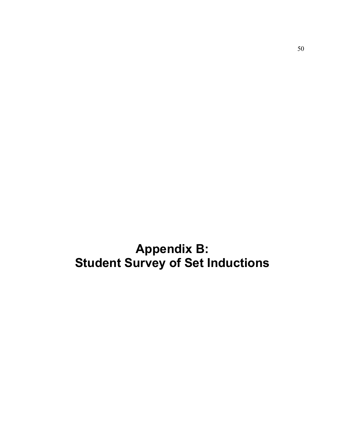**Appendix B: Student Survey of Set Inductions**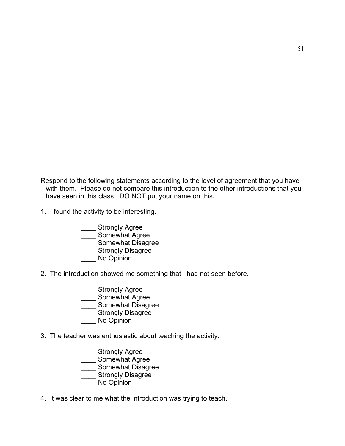Respond to the following statements according to the level of agreement that you have with them. Please do not compare this introduction to the other introductions that you have seen in this class. DO NOT put your name on this.

- 1. I found the activity to be interesting.
	- \_\_\_\_ Strongly Agree \_\_\_\_\_<br>
	Somewhat Agree Somewhat Disagree \_\_\_\_ Strongly Disagree No Opinion
- 2. The introduction showed me something that I had not seen before.
	- \_\_\_\_ Strongly Agree
	- \_\_\_\_ Somewhat Agree
	- \_\_\_ Somewhat Disagree
	- **\_\_** Strongly Disagree
	- No Opinion
- 3. The teacher was enthusiastic about teaching the activity.
- \_\_\_\_ Strongly Agree \_\_\_\_ Somewhat Agree **Example 20** Somewhat Disagree **Example 21 Strongly Disagree** No Opinion
- 4. It was clear to me what the introduction was trying to teach.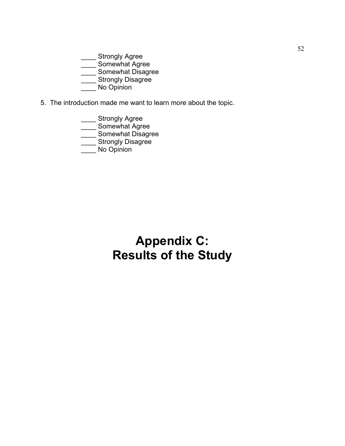\_ Strongly Agree

 $\equiv$  Somewhat Agree

\_<br>Somewhat Disagree

\_ Strongly Disagree

\_\_\_\_ No Opinion

5. The introduction made me want to learn more about the topic.

\_\_\_\_ Strongly Agree

Somewhat Agree

 $\equiv$  Somewhat Disagree

**Wille Strongly Disagree** 

No Opinion

# **Appendix C: Results of the Study**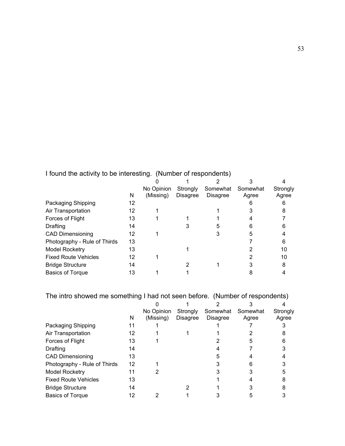## I found the activity to be interesting. (Number of respondents)

|                              |    | No Opinion | Strongly        | Somewhat        | Somewhat | Strongly |
|------------------------------|----|------------|-----------------|-----------------|----------|----------|
|                              | N  | (Missing)  | <b>Disagree</b> | <b>Disagree</b> | Agree    | Agree    |
| Packaging Shipping           | 12 |            |                 |                 |          |          |
| Air Transportation           | 12 |            |                 |                 |          | 8        |
| Forces of Flight             | 13 |            |                 |                 |          |          |
| <b>Drafting</b>              | 14 |            |                 | 5               | 6        |          |
| <b>CAD Dimensioning</b>      | 12 |            |                 |                 | 5        |          |
| Photography - Rule of Thirds | 13 |            |                 |                 |          |          |
| <b>Model Rocketry</b>        | 13 |            |                 |                 |          | 10       |
| <b>Fixed Route Vehicles</b>  | 12 |            |                 |                 |          | 10       |
| <b>Bridge Structure</b>      | 14 |            |                 |                 |          | 8        |
| <b>Basics of Torque</b>      | 13 |            |                 |                 |          |          |

The intro showed me something I had not seen before. (Number of respondents)

|                              |    | No Opinion | Strongly        | Somewhat        | Somewhat | Strongly |
|------------------------------|----|------------|-----------------|-----------------|----------|----------|
|                              | N  | (Missing)  | <b>Disagree</b> | <b>Disagree</b> | Agree    | Agree    |
| Packaging Shipping           |    |            |                 |                 |          |          |
| Air Transportation           | 12 |            |                 |                 |          |          |
| Forces of Flight             | 13 |            |                 |                 |          |          |
| Drafting                     | 14 |            |                 |                 |          |          |
| <b>CAD Dimensioning</b>      | 13 |            |                 |                 |          |          |
| Photography - Rule of Thirds | 12 |            |                 |                 |          |          |
| <b>Model Rocketry</b>        | 11 |            |                 |                 |          |          |
| <b>Fixed Route Vehicles</b>  | 13 |            |                 |                 |          |          |
| <b>Bridge Structure</b>      | 14 |            |                 |                 |          |          |
| <b>Basics of Torque</b>      | 12 |            |                 |                 |          |          |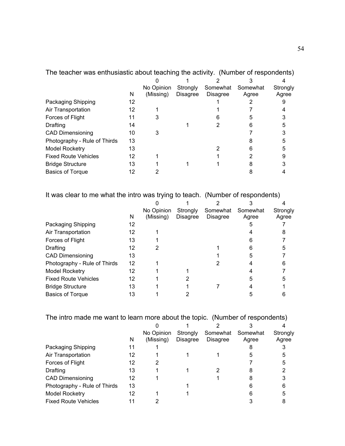| The leading was entitled as a about teaching the activity. Trighting to respondents) |    |            |                 |                 |          |          |
|--------------------------------------------------------------------------------------|----|------------|-----------------|-----------------|----------|----------|
|                                                                                      |    |            |                 |                 |          |          |
|                                                                                      |    | No Opinion | Strongly        | Somewhat        | Somewhat | Strongly |
|                                                                                      | N  | (Missing)  | <b>Disagree</b> | <b>Disagree</b> | Agree    | Agree    |
| Packaging Shipping                                                                   | 12 |            |                 |                 |          |          |
| Air Transportation                                                                   | 12 |            |                 |                 |          |          |
| Forces of Flight                                                                     | 11 |            |                 |                 | 5        |          |
| Drafting                                                                             | 14 |            |                 |                 | 6        |          |
| <b>CAD Dimensioning</b>                                                              | 10 | 3          |                 |                 |          |          |
| Photography - Rule of Thirds                                                         | 13 |            |                 |                 |          |          |
| Model Rocketry                                                                       | 13 |            |                 |                 |          |          |
| <b>Fixed Route Vehicles</b>                                                          | 12 |            |                 |                 |          |          |
| <b>Bridge Structure</b>                                                              | 13 |            |                 |                 |          |          |
| <b>Basics of Torque</b>                                                              | 12 |            |                 |                 |          |          |
|                                                                                      |    |            |                 |                 |          |          |

The teacher was enthusiastic about teaching the activity. (Number of respondents)

It was clear to me what the intro was trying to teach. (Number of respondents)

|                              |    | No Opinion | Strongly        | Somewhat        | Somewhat | Strongly |
|------------------------------|----|------------|-----------------|-----------------|----------|----------|
|                              | N  | (Missing)  | <b>Disagree</b> | <b>Disagree</b> | Agree    | Agree    |
| Packaging Shipping           | 12 |            |                 |                 |          |          |
| Air Transportation           | 12 |            |                 |                 |          | 8        |
| Forces of Flight             | 13 |            |                 |                 | 6        |          |
| <b>Drafting</b>              | 12 | 2          |                 |                 | 6        |          |
| <b>CAD Dimensioning</b>      | 13 |            |                 |                 | 5        |          |
| Photography - Rule of Thirds | 12 |            |                 |                 |          |          |
| <b>Model Rocketry</b>        | 12 |            |                 |                 |          |          |
| <b>Fixed Route Vehicles</b>  | 12 |            |                 |                 | 5        |          |
| <b>Bridge Structure</b>      | 13 |            |                 |                 |          |          |
| <b>Basics of Torque</b>      | 13 |            |                 |                 | 5        |          |

The intro made me want to learn more about the topic. (Number of respondents)

|                              |    | No Opinion | Strongly        | Somewhat        | Somewhat | Strongly |
|------------------------------|----|------------|-----------------|-----------------|----------|----------|
|                              | N  | (Missing)  | <b>Disagree</b> | <b>Disagree</b> | Agree    | Agree    |
| Packaging Shipping           | 11 |            |                 |                 |          |          |
| Air Transportation           | 12 |            |                 |                 | 5        | 5        |
| Forces of Flight             | 12 |            |                 |                 |          |          |
| Drafting                     | 13 |            |                 |                 | 8        |          |
| <b>CAD Dimensioning</b>      | 12 |            |                 |                 |          |          |
| Photography - Rule of Thirds | 13 |            |                 |                 | 6        | 6        |
| <b>Model Rocketry</b>        | 12 |            |                 |                 | 6        |          |
| <b>Fixed Route Vehicles</b>  | 11 |            |                 |                 |          |          |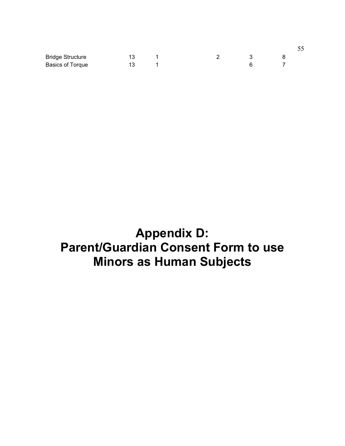| <b>Bridge Structure</b> | 13  |  |  |  |
|-------------------------|-----|--|--|--|
| <b>Basics of Torque</b> | 13. |  |  |  |

# **Appendix D: Parent/Guardian Consent Form to use Minors as Human Subjects**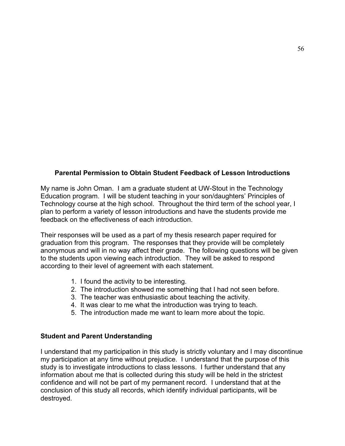## **Parental Permission to Obtain Student Feedback of Lesson Introductions**

My name is John Oman. I am a graduate student at UW-Stout in the Technology Education program. I will be student teaching in your son/daughters' Principles of Technology course at the high school. Throughout the third term of the school year, I plan to perform a variety of lesson introductions and have the students provide me feedback on the effectiveness of each introduction.

Their responses will be used as a part of my thesis research paper required for graduation from this program. The responses that they provide will be completely anonymous and will in no way affect their grade. The following questions will be given to the students upon viewing each introduction. They will be asked to respond according to their level of agreement with each statement.

- 1. I found the activity to be interesting.
- 2. The introduction showed me something that I had not seen before.
- 3. The teacher was enthusiastic about teaching the activity.
- 4. It was clear to me what the introduction was trying to teach.
- 5. The introduction made me want to learn more about the topic.

## **Student and Parent Understanding**

I understand that my participation in this study is strictly voluntary and I may discontinue my participation at any time without prejudice. I understand that the purpose of this study is to investigate introductions to class lessons. I further understand that any information about me that is collected during this study will be held in the strictest confidence and will not be part of my permanent record. I understand that at the conclusion of this study all records, which identify individual participants, will be destroyed.